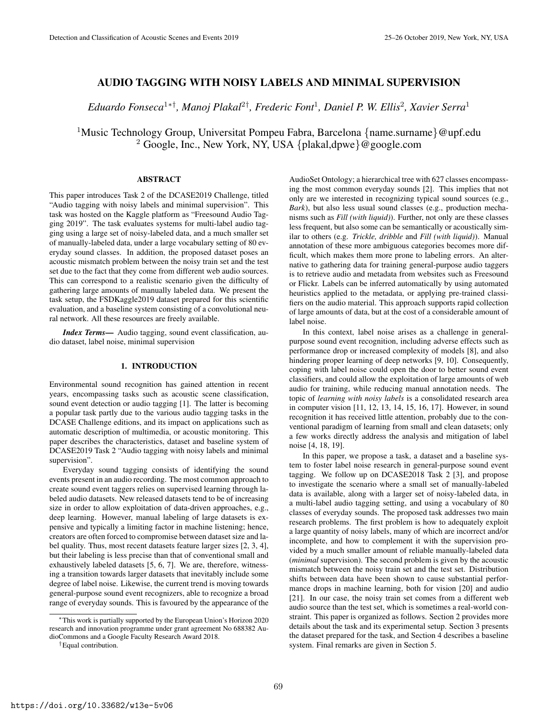# AUDIO TAGGING WITH NOISY LABELS AND MINIMAL SUPERVISION

*Eduardo Fonseca*<sup>1</sup>∗†*, Manoj Plakal*<sup>2</sup>† *, Frederic Font*<sup>1</sup> *, Daniel P. W. Ellis*<sup>2</sup> *, Xavier Serra*<sup>1</sup>

<sup>1</sup>Music Technology Group, Universitat Pompeu Fabra, Barcelona  $\{name.sumame\}$ @upf.edu <sup>2</sup> Google, Inc., New York, NY, USA {plakal,dpwe}@google.com

# **ABSTRACT**

This paper introduces Task 2 of the DCASE2019 Challenge, titled "Audio tagging with noisy labels and minimal supervision". This task was hosted on the Kaggle platform as "Freesound Audio Tagging 2019". The task evaluates systems for multi-label audio tagging using a large set of noisy-labeled data, and a much smaller set of manually-labeled data, under a large vocabulary setting of 80 everyday sound classes. In addition, the proposed dataset poses an acoustic mismatch problem between the noisy train set and the test set due to the fact that they come from different web audio sources. This can correspond to a realistic scenario given the difficulty of gathering large amounts of manually labeled data. We present the task setup, the FSDKaggle2019 dataset prepared for this scientific evaluation, and a baseline system consisting of a convolutional neural network. All these resources are freely available.

*Index Terms*— Audio tagging, sound event classification, audio dataset, label noise, minimal supervision

# 1. INTRODUCTION

Environmental sound recognition has gained attention in recent years, encompassing tasks such as acoustic scene classification, sound event detection or audio tagging [1]. The latter is becoming a popular task partly due to the various audio tagging tasks in the DCASE Challenge editions, and its impact on applications such as automatic description of multimedia, or acoustic monitoring. This paper describes the characteristics, dataset and baseline system of DCASE2019 Task 2 "Audio tagging with noisy labels and minimal supervision".

Everyday sound tagging consists of identifying the sound events present in an audio recording. The most common approach to create sound event taggers relies on supervised learning through labeled audio datasets. New released datasets tend to be of increasing size in order to allow exploitation of data-driven approaches, e.g., deep learning. However, manual labeling of large datasets is expensive and typically a limiting factor in machine listening; hence, creators are often forced to compromise between dataset size and label quality. Thus, most recent datasets feature larger sizes [2, 3, 4], but their labeling is less precise than that of conventional small and exhaustively labeled datasets [5, 6, 7]. We are, therefore, witnessing a transition towards larger datasets that inevitably include some degree of label noise. Likewise, the current trend is moving towards general-purpose sound event recognizers, able to recognize a broad range of everyday sounds. This is favoured by the appearance of the

AudioSet Ontology; a hierarchical tree with 627 classes encompassing the most common everyday sounds [2]. This implies that not only are we interested in recognizing typical sound sources (e.g., *Bark*), but also less usual sound classes (e.g., production mechanisms such as *Fill (with liquid)*). Further, not only are these classes less frequent, but also some can be semantically or acoustically similar to others (e.g. *Trickle, dribble* and *Fill (with liquid)*). Manual annotation of these more ambiguous categories becomes more difficult, which makes them more prone to labeling errors. An alternative to gathering data for training general-purpose audio taggers is to retrieve audio and metadata from websites such as Freesound or Flickr. Labels can be inferred automatically by using automated heuristics applied to the metadata, or applying pre-trained classifiers on the audio material. This approach supports rapid collection of large amounts of data, but at the cost of a considerable amount of label noise.

In this context, label noise arises as a challenge in generalpurpose sound event recognition, including adverse effects such as performance drop or increased complexity of models [8], and also hindering proper learning of deep networks [9, 10]. Consequently, coping with label noise could open the door to better sound event classifiers, and could allow the exploitation of large amounts of web audio for training, while reducing manual annotation needs. The topic of *learning with noisy labels* is a consolidated research area in computer vision [11, 12, 13, 14, 15, 16, 17]. However, in sound recognition it has received little attention, probably due to the conventional paradigm of learning from small and clean datasets; only a few works directly address the analysis and mitigation of label noise [4, 18, 19].

In this paper, we propose a task, a dataset and a baseline system to foster label noise research in general-purpose sound event tagging. We follow up on DCASE2018 Task 2 [3], and propose to investigate the scenario where a small set of manually-labeled data is available, along with a larger set of noisy-labeled data, in a multi-label audio tagging setting, and using a vocabulary of 80 classes of everyday sounds. The proposed task addresses two main research problems. The first problem is how to adequately exploit a large quantity of noisy labels, many of which are incorrect and/or incomplete, and how to complement it with the supervision provided by a much smaller amount of reliable manually-labeled data (*minimal* supervision). The second problem is given by the acoustic mismatch between the noisy train set and the test set. Distribution shifts between data have been shown to cause substantial performance drops in machine learning, both for vision [20] and audio [21]. In our case, the noisy train set comes from a different web audio source than the test set, which is sometimes a real-world constraint. This paper is organized as follows. Section 2 provides more details about the task and its experimental setup. Section 3 presents the dataset prepared for the task, and Section 4 describes a baseline system. Final remarks are given in Section 5.

<sup>∗</sup>This work is partially supported by the European Union's Horizon 2020 research and innovation programme under grant agreement No 688382 AudioCommons and a Google Faculty Research Award 2018.

<sup>†</sup>Equal contribution.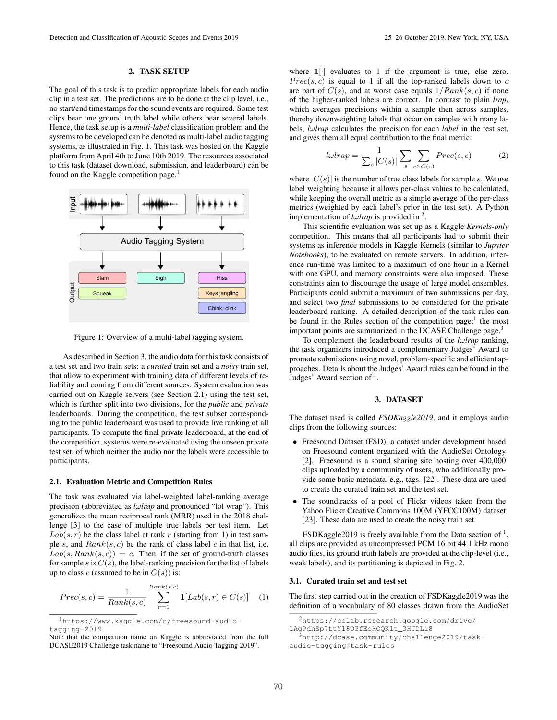#### 2. TASK SETUP

The goal of this task is to predict appropriate labels for each audio clip in a test set. The predictions are to be done at the clip level, i.e., no start/end timestamps for the sound events are required. Some test clips bear one ground truth label while others bear several labels. Hence, the task setup is a *multi-label* classification problem and the systems to be developed can be denoted as multi-label audio tagging systems, as illustrated in Fig. 1. This task was hosted on the Kaggle platform from April 4th to June 10th 2019. The resources associated to this task (dataset download, submission, and leaderboard) can be found on the Kaggle competition page.<sup>1</sup>



Figure 1: Overview of a multi-label tagging system.

As described in Section 3, the audio data for this task consists of a test set and two train sets: a *curated* train set and a *noisy* train set, that allow to experiment with training data of different levels of reliability and coming from different sources. System evaluation was carried out on Kaggle servers (see Section 2.1) using the test set, which is further split into two divisions, for the *public* and *private* leaderboards. During the competition, the test subset corresponding to the public leaderboard was used to provide live ranking of all participants. To compute the final private leaderboard, at the end of the competition, systems were re-evaluated using the unseen private test set, of which neither the audio nor the labels were accessible to participants.

#### 2.1. Evaluation Metric and Competition Rules

The task was evaluated via label-weighted label-ranking average precision (abbreviated as *l*ω*lrap* and pronounced "lol wrap"). This generalizes the mean reciprocal rank (MRR) used in the 2018 challenge [3] to the case of multiple true labels per test item. Let  $Lab(s, r)$  be the class label at rank r (starting from 1) in test sample s, and  $Rank(s, c)$  be the rank of class label c in that list, i.e.  $Lab(s, Rank(s, c)) = c$ . Then, if the set of ground-truth classes for sample s is  $C(s)$ , the label-ranking precision for the list of labels up to class  $c$  (assumed to be in  $C(s)$ ) is:

$$
Prec(s, c) = \frac{1}{Rank(s, c)} \sum_{r=1}^{Rank(s, c)} \mathbf{1}[Lab(s, r) \in C(s)] \quad (1)
$$

where  $1$ [ $\cdot$ ] evaluates to 1 if the argument is true, else zero.  $Prec(s, c)$  is equal to 1 if all the top-ranked labels down to c are part of  $C(s)$ , and at worst case equals  $1/Rank(s, c)$  if none of the higher-ranked labels are correct. In contrast to plain *lrap*, which averages precisions within a sample then across samples, thereby downweighting labels that occur on samples with many labels, *l*ω*lrap* calculates the precision for each *label* in the test set, and gives them all equal contribution to the final metric:

$$
l\omega trap = \frac{1}{\sum_{s} |C(s)|} \sum_{s} \sum_{c \in C(s)} Prec(s, c)
$$
 (2)

where  $|C(s)|$  is the number of true class labels for sample s. We use label weighting because it allows per-class values to be calculated, while keeping the overall metric as a simple average of the per-class metrics (weighted by each label's prior in the test set). A Python implementation of *l*ω*lrap* is provided in <sup>2</sup> .

This scientific evaluation was set up as a Kaggle *Kernels-only* competition. This means that all participants had to submit their systems as inference models in Kaggle Kernels (similar to *Jupyter Notebooks*), to be evaluated on remote servers. In addition, inference run-time was limited to a maximum of one hour in a Kernel with one GPU, and memory constraints were also imposed. These constraints aim to discourage the usage of large model ensembles. Participants could submit a maximum of two submissions per day, and select two *final* submissions to be considered for the private leaderboard ranking. A detailed description of the task rules can be found in the Rules section of the competition page;<sup>1</sup> the most important points are summarized in the DCASE Challenge page.<sup>3</sup>

To complement the leaderboard results of the *l*ω*lrap* ranking, the task organizers introduced a complementary Judges' Award to promote submissions using novel, problem-specific and efficient approaches. Details about the Judges' Award rules can be found in the Judges' Award section of  $<sup>1</sup>$ .</sup>

# 3. DATASET

The dataset used is called *FSDKaggle2019*, and it employs audio clips from the following sources:

- Freesound Dataset (FSD): a dataset under development based on Freesound content organized with the AudioSet Ontology [2]. Freesound is a sound sharing site hosting over 400,000 clips uploaded by a community of users, who additionally provide some basic metadata, e.g., tags. [22]. These data are used to create the curated train set and the test set.
- The soundtracks of a pool of Flickr videos taken from the Yahoo Flickr Creative Commons 100M (YFCC100M) dataset [23]. These data are used to create the noisy train set.

FSDKaggle2019 is freely available from the Data section of  $\frac{1}{1}$ , all clips are provided as uncompressed PCM 16 bit 44.1 kHz mono audio files, its ground truth labels are provided at the clip-level (i.e., weak labels), and its partitioning is depicted in Fig. 2.

## 3.1. Curated train set and test set

The first step carried out in the creation of FSDKaggle2019 was the definition of a vocabulary of 80 classes drawn from the AudioSet

<sup>1</sup>https://www.kaggle.com/c/freesound-audiotagging-2019

Note that the competition name on Kaggle is abbreviated from the full DCASE2019 Challenge task name to "Freesound Audio Tagging 2019".

<sup>2</sup>https://colab.research.google.com/drive/ 1AgPdhSp7ttY18O3fEoHOQKlt\_3HJDLi8

<sup>3</sup>http://dcase.community/challenge2019/taskaudio-tagging#task-rules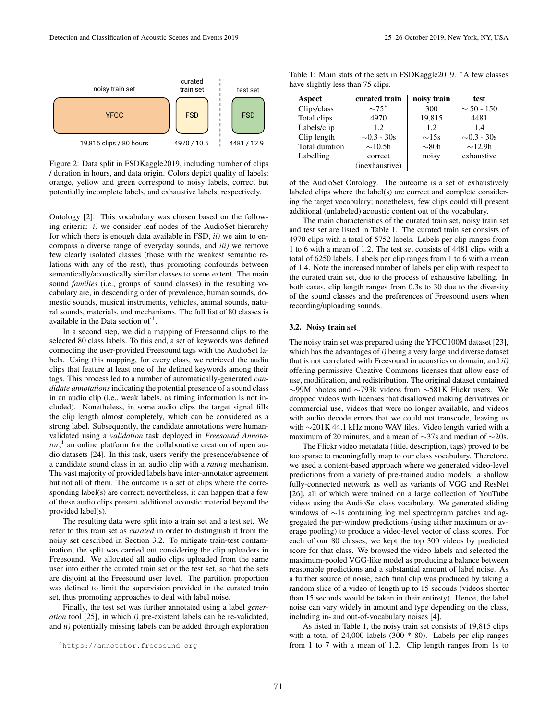

Figure 2: Data split in FSDKaggle2019, including number of clips / duration in hours, and data origin. Colors depict quality of labels: orange, yellow and green correspond to noisy labels, correct but potentially incomplete labels, and exhaustive labels, respectively.

Ontology [2]. This vocabulary was chosen based on the following criteria: *i)* we consider leaf nodes of the AudioSet hierarchy for which there is enough data available in FSD, *ii)* we aim to encompass a diverse range of everyday sounds, and *iii)* we remove few clearly isolated classes (those with the weakest semantic relations with any of the rest), thus promoting confounds between semantically/acoustically similar classes to some extent. The main sound *families* (i.e., groups of sound classes) in the resulting vocabulary are, in descending order of prevalence, human sounds, domestic sounds, musical instruments, vehicles, animal sounds, natural sounds, materials, and mechanisms. The full list of 80 classes is available in the Data section of  $<sup>1</sup>$ .</sup>

In a second step, we did a mapping of Freesound clips to the selected 80 class labels. To this end, a set of keywords was defined connecting the user-provided Freesound tags with the AudioSet labels. Using this mapping, for every class, we retrieved the audio clips that feature at least one of the defined keywords among their tags. This process led to a number of automatically-generated *candidate annotations* indicating the potential presence of a sound class in an audio clip (i.e., weak labels, as timing information is not included). Nonetheless, in some audio clips the target signal fills the clip length almost completely, which can be considered as a strong label. Subsequently, the candidate annotations were humanvalidated using a *validation* task deployed in *Freesound Annota*tor,<sup>4</sup> an online platform for the collaborative creation of open audio datasets [24]. In this task, users verify the presence/absence of a candidate sound class in an audio clip with a *rating* mechanism. The vast majority of provided labels have inter-annotator agreement but not all of them. The outcome is a set of clips where the corresponding label(s) are correct; nevertheless, it can happen that a few of these audio clips present additional acoustic material beyond the provided label(s).

The resulting data were split into a train set and a test set. We refer to this train set as *curated* in order to distinguish it from the noisy set described in Section 3.2. To mitigate train-test contamination, the split was carried out considering the clip uploaders in Freesound. We allocated all audio clips uploaded from the same user into either the curated train set or the test set, so that the sets are disjoint at the Freesound user level. The partition proportion was defined to limit the supervision provided in the curated train set, thus promoting approaches to deal with label noise.

Finally, the test set was further annotated using a label *generation* tool [25], in which *i)* pre-existent labels can be re-validated, and *ii)* potentially missing labels can be added through exploration

Table 1: Main stats of the sets in FSDKaggle2019. <sup>∗</sup>A few classes have slightly less than 75 clips.

| Aspect         | curated train    | noisy train | test             |
|----------------|------------------|-------------|------------------|
| Clips/class    | $\sim75^*$       | 300         | $\sim$ 50 - 150  |
| Total clips    | 4970             | 19,815      | 4481             |
| Labels/clip    | 1.2.             | 1.2.        | 1.4              |
| Clip length    | $\sim 0.3 - 30s$ | $\sim$ 15s  | $\sim 0.3 - 30s$ |
| Total duration | $\sim$ 10.5h     | $\sim$ 80h  | $\sim$ 12.9h     |
| Labelling      | correct          | noisy       | exhaustive       |
|                | (inexhaustive)   |             |                  |

of the AudioSet Ontology. The outcome is a set of exhaustively labeled clips where the label(s) are correct and complete considering the target vocabulary; nonetheless, few clips could still present additional (unlabeled) acoustic content out of the vocabulary.

The main characteristics of the curated train set, noisy train set and test set are listed in Table 1. The curated train set consists of 4970 clips with a total of 5752 labels. Labels per clip ranges from 1 to 6 with a mean of 1.2. The test set consists of 4481 clips with a total of 6250 labels. Labels per clip ranges from 1 to 6 with a mean of 1.4. Note the increased number of labels per clip with respect to the curated train set, due to the process of exhaustive labelling. In both cases, clip length ranges from 0.3s to 30 due to the diversity of the sound classes and the preferences of Freesound users when recording/uploading sounds.

#### 3.2. Noisy train set

The noisy train set was prepared using the YFCC100M dataset [23], which has the advantages of *i)* being a very large and diverse dataset that is not correlated with Freesound in acoustics or domain, and *ii)* offering permissive Creative Commons licenses that allow ease of use, modification, and redistribution. The original dataset contained ∼99M photos and ∼793k videos from ∼581K Flickr users. We dropped videos with licenses that disallowed making derivatives or commercial use, videos that were no longer available, and videos with audio decode errors that we could not transcode, leaving us with ∼201K 44.1 kHz mono WAV files. Video length varied with a maximum of 20 minutes, and a mean of ∼37s and median of ∼20s.

The Flickr video metadata (title, description, tags) proved to be too sparse to meaningfully map to our class vocabulary. Therefore, we used a content-based approach where we generated video-level predictions from a variety of pre-trained audio models: a shallow fully-connected network as well as variants of VGG and ResNet [26], all of which were trained on a large collection of YouTube videos using the AudioSet class vocabulary. We generated sliding windows of ∼1s containing log mel spectrogram patches and aggregated the per-window predictions (using either maximum or average pooling) to produce a video-level vector of class scores. For each of our 80 classes, we kept the top 300 videos by predicted score for that class. We browsed the video labels and selected the maximum-pooled VGG-like model as producing a balance between reasonable predictions and a substantial amount of label noise. As a further source of noise, each final clip was produced by taking a random slice of a video of length up to 15 seconds (videos shorter than 15 seconds would be taken in their entirety). Hence, the label noise can vary widely in amount and type depending on the class, including in- and out-of-vocabulary noises [4].

As listed in Table 1, the noisy train set consists of 19,815 clips with a total of 24,000 labels (300 \* 80). Labels per clip ranges from 1 to 7 with a mean of 1.2. Clip length ranges from 1s to

<sup>4</sup>https://annotator.freesound.org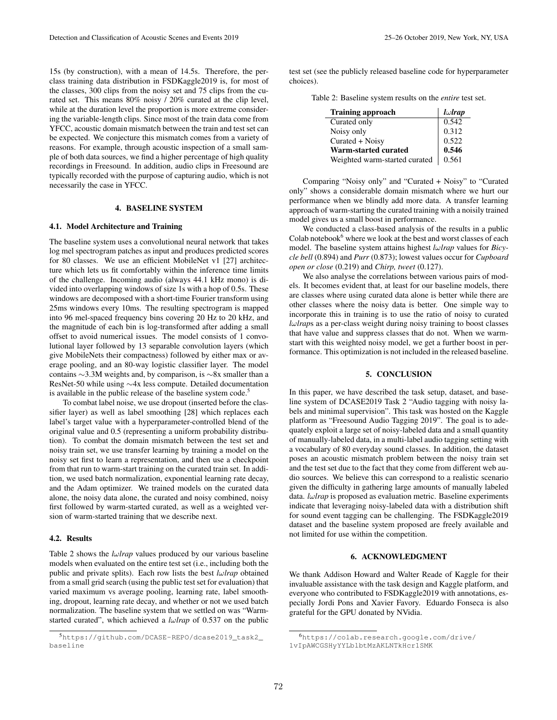15s (by construction), with a mean of 14.5s. Therefore, the perclass training data distribution in FSDKaggle2019 is, for most of the classes, 300 clips from the noisy set and 75 clips from the curated set. This means 80% noisy / 20% curated at the clip level, while at the duration level the proportion is more extreme considering the variable-length clips. Since most of the train data come from YFCC, acoustic domain mismatch between the train and test set can be expected. We conjecture this mismatch comes from a variety of reasons. For example, through acoustic inspection of a small sample of both data sources, we find a higher percentage of high quality recordings in Freesound. In addition, audio clips in Freesound are typically recorded with the purpose of capturing audio, which is not necessarily the case in YFCC.

# 4. BASELINE SYSTEM

## 4.1. Model Architecture and Training

The baseline system uses a convolutional neural network that takes log mel spectrogram patches as input and produces predicted scores for 80 classes. We use an efficient MobileNet v1 [27] architecture which lets us fit comfortably within the inference time limits of the challenge. Incoming audio (always 44.1 kHz mono) is divided into overlapping windows of size 1s with a hop of 0.5s. These windows are decomposed with a short-time Fourier transform using 25ms windows every 10ms. The resulting spectrogram is mapped into 96 mel-spaced frequency bins covering 20 Hz to 20 kHz, and the magnitude of each bin is log-transformed after adding a small offset to avoid numerical issues. The model consists of 1 convolutional layer followed by 13 separable convolution layers (which give MobileNets their compactness) followed by either max or average pooling, and an 80-way logistic classifier layer. The model contains ∼3.3M weights and, by comparison, is ∼8x smaller than a ResNet-50 while using ∼4x less compute. Detailed documentation is available in the public release of the baseline system code.<sup>5</sup>

To combat label noise, we use dropout (inserted before the classifier layer) as well as label smoothing [28] which replaces each label's target value with a hyperparameter-controlled blend of the original value and 0.5 (representing a uniform probability distribution). To combat the domain mismatch between the test set and noisy train set, we use transfer learning by training a model on the noisy set first to learn a representation, and then use a checkpoint from that run to warm-start training on the curated train set. In addition, we used batch normalization, exponential learning rate decay, and the Adam optimizer. We trained models on the curated data alone, the noisy data alone, the curated and noisy combined, noisy first followed by warm-started curated, as well as a weighted version of warm-started training that we describe next.

# 4.2. Results

Table 2 shows the *lwlrap* values produced by our various baseline models when evaluated on the entire test set (i.e., including both the public and private splits). Each row lists the best  $l\omega$ *lrap* obtained from a small grid search (using the public test set for evaluation) that varied maximum vs average pooling, learning rate, label smoothing, dropout, learning rate decay, and whether or not we used batch normalization. The baseline system that we settled on was "Warmstarted curated", which achieved a *l*ω*lrap* of 0.537 on the public test set (see the publicly released baseline code for hyperparameter choices).

Table 2: Baseline system results on the *entire* test set.

| <b>Training approach</b>      | $l\omega$ <i>rap</i> |
|-------------------------------|----------------------|
| Curated only                  | 0.542                |
| Noisy only                    | 0.312                |
| Curated + Noisy               | 0.522                |
| Warm-started curated          | 0.546                |
| Weighted warm-started curated | 0.561                |

Comparing "Noisy only" and "Curated + Noisy" to "Curated only" shows a considerable domain mismatch where we hurt our performance when we blindly add more data. A transfer learning approach of warm-starting the curated training with a noisily trained model gives us a small boost in performance.

We conducted a class-based analysis of the results in a public Colab notebook $6$  where we look at the best and worst classes of each model. The baseline system attains highest *l*ω*lrap* values for *Bicycle bell* (0.894) and *Purr* (0.873); lowest values occur for *Cupboard open or close* (0.219) and *Chirp, tweet* (0.127).

We also analyse the correlations between various pairs of models. It becomes evident that, at least for our baseline models, there are classes where using curated data alone is better while there are other classes where the noisy data is better. One simple way to incorporate this in training is to use the ratio of noisy to curated *l*ω*lrap*s as a per-class weight during noisy training to boost classes that have value and suppress classes that do not. When we warmstart with this weighted noisy model, we get a further boost in performance. This optimization is not included in the released baseline.

# 5. CONCLUSION

In this paper, we have described the task setup, dataset, and baseline system of DCASE2019 Task 2 "Audio tagging with noisy labels and minimal supervision". This task was hosted on the Kaggle platform as "Freesound Audio Tagging 2019". The goal is to adequately exploit a large set of noisy-labeled data and a small quantity of manually-labeled data, in a multi-label audio tagging setting with a vocabulary of 80 everyday sound classes. In addition, the dataset poses an acoustic mismatch problem between the noisy train set and the test set due to the fact that they come from different web audio sources. We believe this can correspond to a realistic scenario given the difficulty in gathering large amounts of manually labeled data. *l*ω*lrap* is proposed as evaluation metric. Baseline experiments indicate that leveraging noisy-labeled data with a distribution shift for sound event tagging can be challenging. The FSDKaggle2019 dataset and the baseline system proposed are freely available and not limited for use within the competition.

## 6. ACKNOWLEDGMENT

We thank Addison Howard and Walter Reade of Kaggle for their invaluable assistance with the task design and Kaggle platform, and everyone who contributed to FSDKaggle2019 with annotations, especially Jordi Pons and Xavier Favory. Eduardo Fonseca is also grateful for the GPU donated by NVidia.

<sup>5</sup>https://github.com/DCASE-REPO/dcase2019\_task2\_ baseline

<sup>6</sup>https://colab.research.google.com/drive/ 1vIpAWCGSHyYYLblbtMzAKLNTkHcr1SMK